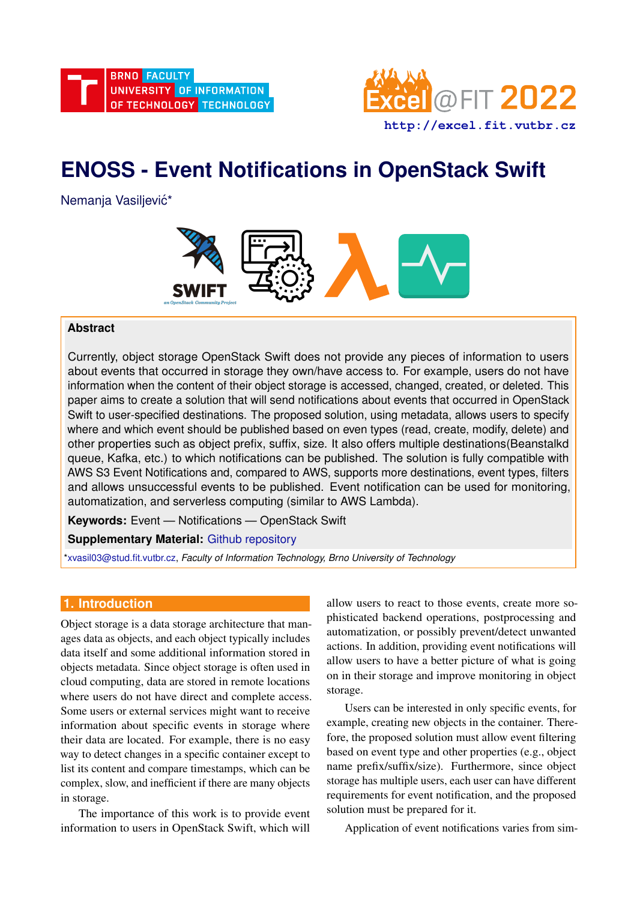



# **ENOSS - Event Notifications in OpenStack Swift**

Nemanja Vasiljević\*



## **Abstract**

Currently, object storage OpenStack Swift does not provide any pieces of information to users about events that occurred in storage they own/have access to. For example, users do not have information when the content of their object storage is accessed, changed, created, or deleted. This paper aims to create a solution that will send notifications about events that occurred in OpenStack Swift to user-specified destinations. The proposed solution, using metadata, allows users to specify where and which event should be published based on even types (read, create, modify, delete) and other properties such as object prefix, suffix, size. It also offers multiple destinations(Beanstalkd queue, Kafka, etc.) to which notifications can be published. The solution is fully compatible with AWS S3 Event Notifications and, compared to AWS, supports more destinations, event types, filters and allows unsuccessful events to be published. Event notification can be used for monitoring, automatization, and serverless computing (similar to AWS Lambda).

**Keywords:** Event — Notifications — OpenStack Swift

**Supplementary Material:** [Github repository](https://github.com/xvasil03/enoss)

[\\*xvasil03@stud.fit.vutbr.cz,](mailto:xvasil03@stud.fit.vutbr.cz) *Faculty of Information Technology, Brno University of Technology*

# <span id="page-0-0"></span>**1. Introduction**

Object storage is a data storage architecture that manages data as objects, and each object typically includes data itself and some additional information stored in objects metadata. Since object storage is often used in cloud computing, data are stored in remote locations where users do not have direct and complete access. Some users or external services might want to receive information about specific events in storage where their data are located. For example, there is no easy way to detect changes in a specific container except to list its content and compare timestamps, which can be complex, slow, and inefficient if there are many objects in storage.

The importance of this work is to provide event information to users in OpenStack Swift, which will allow users to react to those events, create more sophisticated backend operations, postprocessing and automatization, or possibly prevent/detect unwanted actions. In addition, providing event notifications will allow users to have a better picture of what is going on in their storage and improve monitoring in object storage.

Users can be interested in only specific events, for example, creating new objects in the container. Therefore, the proposed solution must allow event filtering based on event type and other properties (e.g., object name prefix/suffix/size). Furthermore, since object storage has multiple users, each user can have different requirements for event notification, and the proposed solution must be prepared for it.

Application of event notifications varies from sim-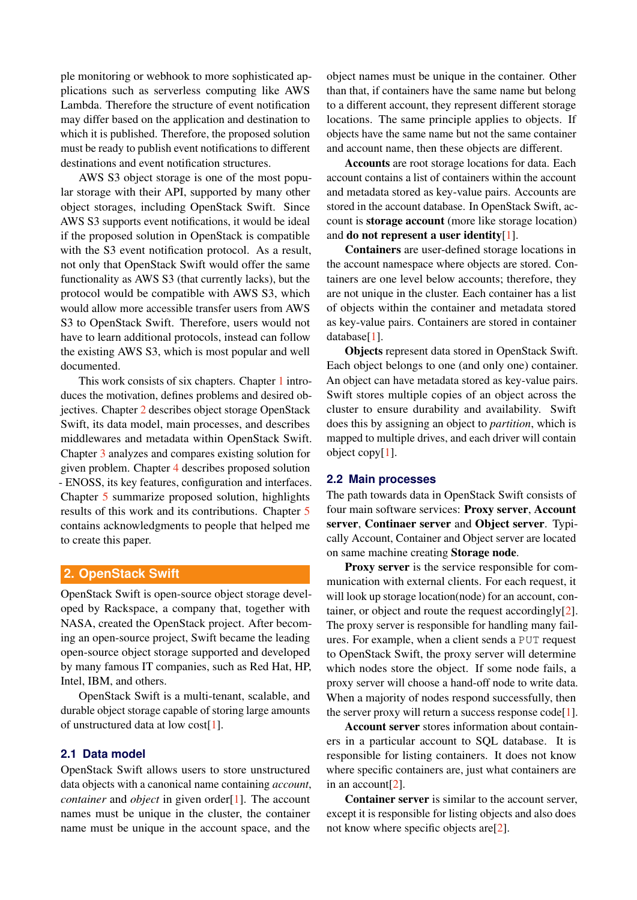ple monitoring or webhook to more sophisticated applications such as serverless computing like AWS Lambda. Therefore the structure of event notification may differ based on the application and destination to which it is published. Therefore, the proposed solution must be ready to publish event notifications to different destinations and event notification structures.

AWS S3 object storage is one of the most popular storage with their API, supported by many other object storages, including OpenStack Swift. Since AWS S3 supports event notifications, it would be ideal if the proposed solution in OpenStack is compatible with the S3 event notification protocol. As a result, not only that OpenStack Swift would offer the same functionality as AWS S3 (that currently lacks), but the protocol would be compatible with AWS S3, which would allow more accessible transfer users from AWS S3 to OpenStack Swift. Therefore, users would not have to learn additional protocols, instead can follow the existing AWS S3, which is most popular and well documented.

This work consists of six chapters. Chapter [1](#page-0-0) introduces the motivation, defines problems and desired objectives. Chapter [2](#page-1-0) describes object storage OpenStack Swift, its data model, main processes, and describes middlewares and metadata within OpenStack Swift. Chapter [3](#page-3-0) analyzes and compares existing solution for given problem. Chapter [4](#page-3-1) describes proposed solution - ENOSS, its key features, configuration and interfaces. Chapter [5](#page-7-0) summarize proposed solution, highlights results of this work and its contributions. Chapter [5](#page-7-0) contains acknowledgments to people that helped me to create this paper.

# <span id="page-1-0"></span>**2. OpenStack Swift**

OpenStack Swift is open-source object storage developed by Rackspace, a company that, together with NASA, created the OpenStack project. After becoming an open-source project, Swift became the leading open-source object storage supported and developed by many famous IT companies, such as Red Hat, HP, Intel, IBM, and others.

OpenStack Swift is a multi-tenant, scalable, and durable object storage capable of storing large amounts of unstructured data at low cost[\[1\]](#page-7-1).

## **2.1 Data model**

OpenStack Swift allows users to store unstructured data objects with a canonical name containing *account*, *container* and *object* in given order[\[1\]](#page-7-1). The account names must be unique in the cluster, the container name must be unique in the account space, and the

object names must be unique in the container. Other than that, if containers have the same name but belong to a different account, they represent different storage locations. The same principle applies to objects. If objects have the same name but not the same container and account name, then these objects are different.

Accounts are root storage locations for data. Each account contains a list of containers within the account and metadata stored as key-value pairs. Accounts are stored in the account database. In OpenStack Swift, account is storage account (more like storage location) and do not represent a user identity $[1]$ .

Containers are user-defined storage locations in the account namespace where objects are stored. Containers are one level below accounts; therefore, they are not unique in the cluster. Each container has a list of objects within the container and metadata stored as key-value pairs. Containers are stored in container database[\[1\]](#page-7-1).

Objects represent data stored in OpenStack Swift. Each object belongs to one (and only one) container. An object can have metadata stored as key-value pairs. Swift stores multiple copies of an object across the cluster to ensure durability and availability. Swift does this by assigning an object to *partition*, which is mapped to multiple drives, and each driver will contain object copy[\[1\]](#page-7-1).

#### **2.2 Main processes**

The path towards data in OpenStack Swift consists of four main software services: Proxy server, Account server, Continaer server and Object server. Typically Account, Container and Object server are located on same machine creating Storage node.

Proxy server is the service responsible for communication with external clients. For each request, it will look up storage location(node) for an account, container, or object and route the request accordingly[\[2\]](#page-7-2). The proxy server is responsible for handling many failures. For example, when a client sends a PUT request to OpenStack Swift, the proxy server will determine which nodes store the object. If some node fails, a proxy server will choose a hand-off node to write data. When a majority of nodes respond successfully, then the server proxy will return a success response  $\text{code}[1]$  $\text{code}[1]$ .

Account server stores information about containers in a particular account to SQL database. It is responsible for listing containers. It does not know where specific containers are, just what containers are in an account[\[2\]](#page-7-2).

Container server is similar to the account server, except it is responsible for listing objects and also does not know where specific objects are[\[2\]](#page-7-2).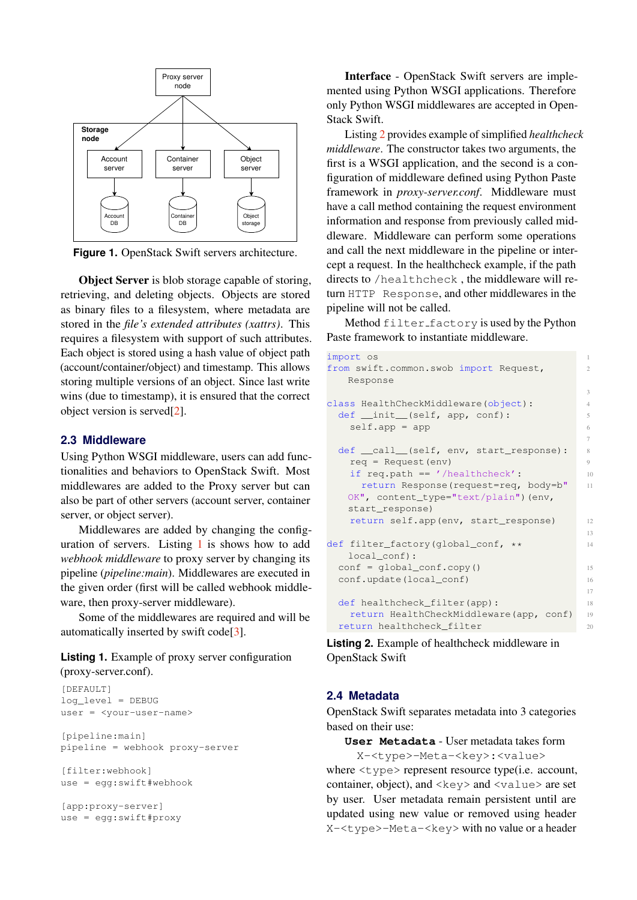

**Figure 1.** OpenStack Swift servers architecture.

**Object Server** is blob storage capable of storing, retrieving, and deleting objects. Objects are stored as binary files to a filesystem, where metadata are stored in the *file's extended attributes (xattrs)*. This requires a filesystem with support of such attributes. Each object is stored using a hash value of object path (account/container/object) and timestamp. This allows storing multiple versions of an object. Since last write wins (due to timestamp), it is ensured that the correct object version is served[\[2\]](#page-7-2).

#### <span id="page-2-2"></span>**2.3 Middleware**

Using Python WSGI middleware, users can add functionalities and behaviors to OpenStack Swift. Most middlewares are added to the Proxy server but can also be part of other servers (account server, container server, or object server).

Middlewares are added by changing the configuration of servers. Listing [1](#page-2-0) is shows how to add *webhook middleware* to proxy server by changing its pipeline (*pipeline:main*). Middlewares are executed in the given order (first will be called webhook middleware, then proxy-server middleware).

Some of the middlewares are required and will be automatically inserted by swift code[\[3\]](#page-7-3).

<span id="page-2-0"></span>**Listing 1.** Example of proxy server configuration (proxy-server.conf).

```
[DEFAULT]
log_level = DEBUG
user = <your-user-name>
[pipeline:main]
pipeline = webhook proxy-server
[filter:webhook]
use = egg:swift#webhook
[app:proxy-server]
use = egg:swift#proxy
```
Interface - OpenStack Swift servers are implemented using Python WSGI applications. Therefore only Python WSGI middlewares are accepted in Open-Stack Swift.

Listing [2](#page-2-1) provides example of simplified *healthcheck middleware*. The constructor takes two arguments, the first is a WSGI application, and the second is a configuration of middleware defined using Python Paste framework in *proxy-server.conf*. Middleware must have a call method containing the request environment information and response from previously called middleware. Middleware can perform some operations and call the next middleware in the pipeline or intercept a request. In the healthcheck example, if the path directs to /healthcheck , the middleware will return HTTP Response, and other middlewares in the pipeline will not be called.

Method filter factory is used by the Python Paste framework to instantiate middleware.

```
import os
from swift.common.swob import Request,
  Response
                                    3
class HealthCheckMiddleware(object): 4
 def __init__(self, app, conf): 5
   self.append = app 6
                                    7
 def __call _(self, env, start_response): 8
   req = Request(env) 9
   if req.path == '/healthcheck': 10return Response(request=req, body=b" 11
  OK", content_type="text/plain")(env,
   start_response)
   return self.app(env, start_response) 12
                                    13
def filter_factory(global_conf, ** 14
  local_conf):
 conf = global_conf.copy() 15
 conf.update(local_conf) 16
                                    17
 def healthcheck_filter(app): 18
   return HealthCheckMiddleware(app, conf) 19
 return healthcheck_filter 20
```
**Listing 2.** Example of healthcheck middleware in OpenStack Swift

#### **2.4 Metadata**

OpenStack Swift separates metadata into 3 categories based on their use:

**User Metadata** - User metadata takes form

X-<type>-Meta-<key>:<value> where  $\langle \text{type} \rangle$  represent resource type(i.e. account, container, object), and  $\langle \text{key} \rangle$  and  $\langle \text{value} \rangle$  are set by user. User metadata remain persistent until are updated using new value or removed using header X-<type>-Meta-<key> with no value or a header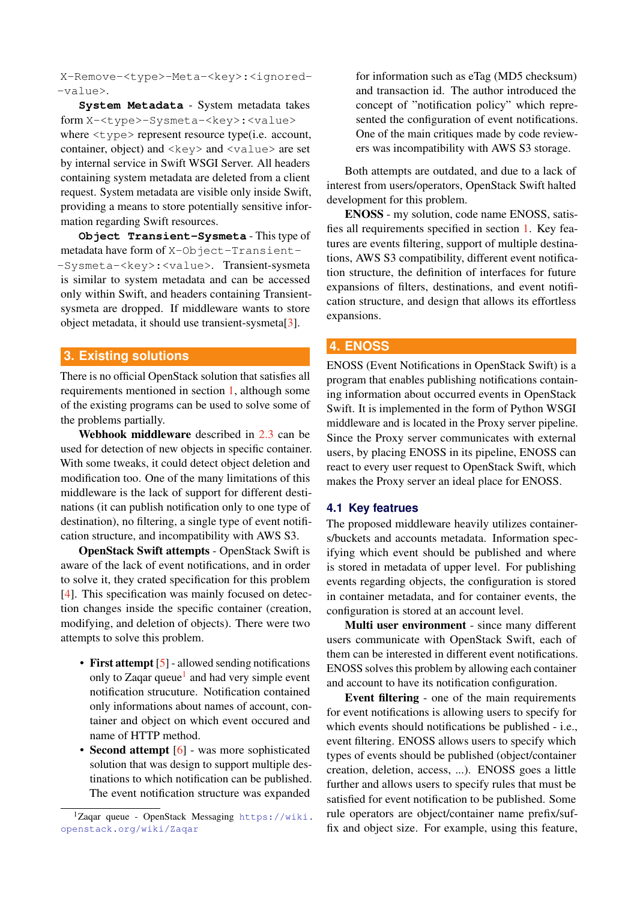X-Remove-<type>-Meta-<key>:<ignored- -value>.

**System Metadata** - System metadata takes form X-<type>-Sysmeta-<key>:<value> where  $\langle \text{type} \rangle$  represent resource type(i.e. account, container, object) and  $\langle \text{key} \rangle$  and  $\langle \text{value} \rangle$  are set by internal service in Swift WSGI Server. All headers containing system metadata are deleted from a client request. System metadata are visible only inside Swift, providing a means to store potentially sensitive information regarding Swift resources.

**Object Transient-Sysmeta** - This type of metadata have form of X-Object-Transient- -Sysmeta-<key>:<value>. Transient-sysmeta is similar to system metadata and can be accessed only within Swift, and headers containing Transientsysmeta are dropped. If middleware wants to store object metadata, it should use transient-sysmeta[\[3\]](#page-7-3).

## <span id="page-3-0"></span>**3. Existing solutions**

There is no official OpenStack solution that satisfies all requirements mentioned in section [1,](#page-0-0) although some of the existing programs can be used to solve some of the problems partially.

Webhook middleware described in [2.3](#page-2-2) can be used for detection of new objects in specific container. With some tweaks, it could detect object deletion and modification too. One of the many limitations of this middleware is the lack of support for different destinations (it can publish notification only to one type of destination), no filtering, a single type of event notification structure, and incompatibility with AWS S3.

OpenStack Swift attempts - OpenStack Swift is aware of the lack of event notifications, and in order to solve it, they crated specification for this problem [\[4\]](#page-7-4). This specification was mainly focused on detection changes inside the specific container (creation, modifying, and deletion of objects). There were two attempts to solve this problem.

- First attempt [\[5\]](#page-7-5) allowed sending notifications only to Zaqar queue<sup>[1](#page-3-2)</sup> and had very simple event notification strucuture. Notification contained only informations about names of account, container and object on which event occured and name of HTTP method.
- Second attempt [\[6\]](#page-7-6) was more sophisticated solution that was design to support multiple destinations to which notification can be published. The event notification structure was expanded

for information such as eTag (MD5 checksum) and transaction id. The author introduced the concept of "notification policy" which represented the configuration of event notifications. One of the main critiques made by code reviewers was incompatibility with AWS S3 storage.

Both attempts are outdated, and due to a lack of interest from users/operators, OpenStack Swift halted development for this problem.

ENOSS - my solution, code name ENOSS, satisfies all requirements specified in section [1.](#page-0-0) Key features are events filtering, support of multiple destinations, AWS S3 compatibility, different event notification structure, the definition of interfaces for future expansions of filters, destinations, and event notification structure, and design that allows its effortless expansions.

## <span id="page-3-1"></span>**4. ENOSS**

ENOSS (Event Notifications in OpenStack Swift) is a program that enables publishing notifications containing information about occurred events in OpenStack Swift. It is implemented in the form of Python WSGI middleware and is located in the Proxy server pipeline. Since the Proxy server communicates with external users, by placing ENOSS in its pipeline, ENOSS can react to every user request to OpenStack Swift, which makes the Proxy server an ideal place for ENOSS.

#### **4.1 Key featrues**

The proposed middleware heavily utilizes containers/buckets and accounts metadata. Information specifying which event should be published and where is stored in metadata of upper level. For publishing events regarding objects, the configuration is stored in container metadata, and for container events, the configuration is stored at an account level.

Multi user environment - since many different users communicate with OpenStack Swift, each of them can be interested in different event notifications. ENOSS solves this problem by allowing each container and account to have its notification configuration.

Event filtering - one of the main requirements for event notifications is allowing users to specify for which events should notifications be published - i.e., event filtering. ENOSS allows users to specify which types of events should be published (object/container creation, deletion, access, ...). ENOSS goes a little further and allows users to specify rules that must be satisfied for event notification to be published. Some rule operators are object/container name prefix/suffix and object size. For example, using this feature,

<span id="page-3-2"></span><sup>1</sup>Zaqar queue - OpenStack Messaging [https://wiki.](https://wiki.openstack.org/wiki/Zaqar) [openstack.org/wiki/Zaqar](https://wiki.openstack.org/wiki/Zaqar)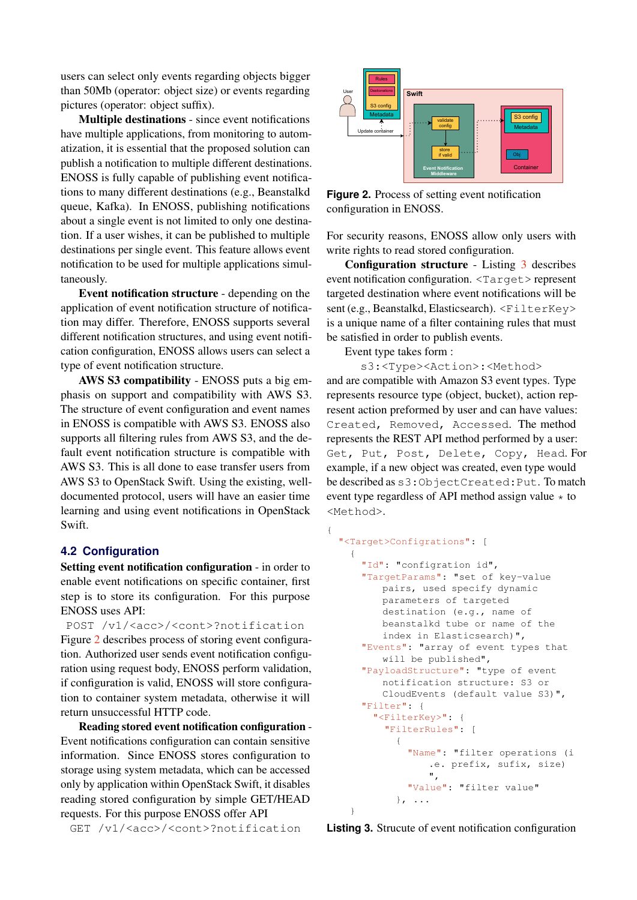users can select only events regarding objects bigger than 50Mb (operator: object size) or events regarding pictures (operator: object suffix).

Multiple destinations - since event notifications have multiple applications, from monitoring to automatization, it is essential that the proposed solution can publish a notification to multiple different destinations. ENOSS is fully capable of publishing event notifications to many different destinations (e.g., Beanstalkd queue, Kafka). In ENOSS, publishing notifications about a single event is not limited to only one destination. If a user wishes, it can be published to multiple destinations per single event. This feature allows event notification to be used for multiple applications simultaneously.

Event notification structure - depending on the application of event notification structure of notification may differ. Therefore, ENOSS supports several different notification structures, and using event notification configuration, ENOSS allows users can select a type of event notification structure.

AWS S3 compatibility - ENOSS puts a big emphasis on support and compatibility with AWS S3. The structure of event configuration and event names in ENOSS is compatible with AWS S3. ENOSS also supports all filtering rules from AWS S3, and the default event notification structure is compatible with AWS S3. This is all done to ease transfer users from AWS S3 to OpenStack Swift. Using the existing, welldocumented protocol, users will have an easier time learning and using event notifications in OpenStack Swift.

## **4.2 Configuration**

Setting event notification configuration - in order to enable event notifications on specific container, first step is to store its configuration. For this purpose ENOSS uses API:

POST /v1/<acc>/<cont>?notification Figure [2](#page-4-0) describes process of storing event configuration. Authorized user sends event notification configuration using request body, ENOSS perform validation, if configuration is valid, ENOSS will store configuration to container system metadata, otherwise it will return unsuccessful HTTP code.

Reading stored event notification configuration - Event notifications configuration can contain sensitive information. Since ENOSS stores configuration to storage using system metadata, which can be accessed only by application within OpenStack Swift, it disables reading stored configuration by simple GET/HEAD requests. For this purpose ENOSS offer API

GET /v1/<acc>/<cont>?notification

<span id="page-4-0"></span>

**Figure 2.** Process of setting event notification configuration in ENOSS.

For security reasons, ENOSS allow only users with write rights to read stored configuration.

Configuration structure - Listing [3](#page-4-1) describes event notification configuration. <Target> represent targeted destination where event notifications will be sent (e.g., Beanstalkd, Elasticsearch). <FilterKey> is a unique name of a filter containing rules that must be satisfied in order to publish events.

Event type takes form :

<span id="page-4-1"></span>{

s3:<Type><Action>:<Method>

and are compatible with Amazon S3 event types. Type represents resource type (object, bucket), action represent action preformed by user and can have values: Created, Removed, Accessed. The method represents the REST API method performed by a user: Get, Put, Post, Delete, Copy, Head. For example, if a new object was created, even type would be described as s3:ObjectCreated:Put. To match event type regardless of API method assign value  $\star$  to <Method>.

```
"<Target>Configrations": [
  {
    "Id": "configration id",
    "TargetParams": "set of key-value
       pairs, used specify dynamic
       parameters of targeted
       destination (e.g., name of
       beanstalkd tube or name of the
       index in Elasticsearch)",
    "Events": "array of event types that
       will be published",
    "PayloadStructure": "type of event
       notification structure: S3 or
       CloudEvents (default value S3)",
    "Filter": {
      "<FilterKey>": {
        "FilterRules": [
          {
            "Name": "filter operations (i
                .e. prefix, sufix, size)
               ",
            "Value": "filter value"
          }, ...
  }
```
**Listing 3.** Strucute of event notification configuration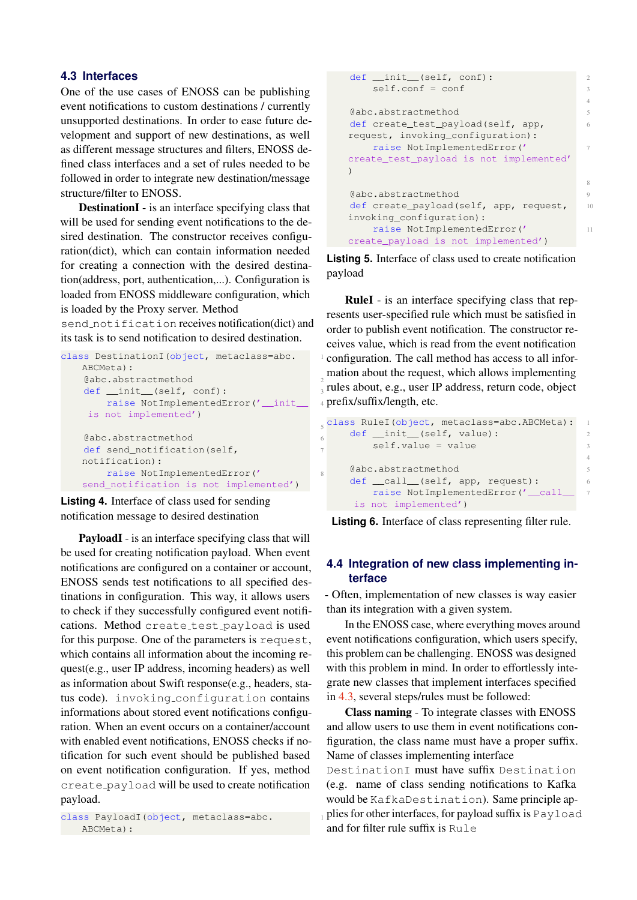## <span id="page-5-0"></span>**4.3 Interfaces**

One of the use cases of ENOSS can be publishing event notifications to custom destinations / currently unsupported destinations. In order to ease future development and support of new destinations, as well as different message structures and filters, ENOSS defined class interfaces and a set of rules needed to be followed in order to integrate new destination/message structure/filter to ENOSS.

DestinationI - is an interface specifying class that will be used for sending event notifications to the desired destination. The constructor receives configuration(dict), which can contain information needed for creating a connection with the desired destination(address, port, authentication,...). Configuration is loaded from ENOSS middleware configuration, which is loaded by the Proxy server. Method

send notification receives notification(dict) and its task is to send notification to desired destination.

```
class DestinationI(object, metaclass=abc.
   ABCMeta):
    @abc.abstractmethod 2
    def __init__(self, conf):
        raise NotImplementedError('__init__ 4
    is not implemented')
    @abc.abstractmethod 6
    def send_notification(self,
   notification):
        raise NotImplementedError(' 8
   send_notification is not implemented')
Listing 4. Interface of class used for sending
```
notification message to desired destination

PayloadI - is an interface specifying class that will be used for creating notification payload. When event notifications are configured on a container or account, ENOSS sends test notifications to all specified destinations in configuration. This way, it allows users to check if they successfully configured event notifications. Method create\_test\_payload is used for this purpose. One of the parameters is request, which contains all information about the incoming request(e.g., user IP address, incoming headers) as well as information about Swift response(e.g., headers, status code). invoking configuration contains informations about stored event notifications configuration. When an event occurs on a container/account with enabled event notifications, ENOSS checks if notification for such event should be published based on event notification configuration. If yes, method create payload will be used to create notification payload.

```
class PayloadI (object, metaclass=abc.
  ABCMeta):
```

```
def __init__(self, conf):
   self.config = conf4
eabc.abstractmethod 5
def create_test_payload(self, app, 6
request, invoking_configuration):
   raise NotImplementedError(' 7
create_test_payload is not implemented'
)
                                   8
@abc.abstractmethod 9
def create_payload(self, app, request, 10
invoking_configuration):
   raise NotImplementedError(' 11
create_payload is not implemented')
```
**Listing 5.** Interface of class used to create notification payload

RuleI - is an interface specifying class that represents user-specified rule which must be satisfied in order to publish event notification. The constructor receives value, which is read from the event notification configuration. The call method has access to all information about the request, which allows implementing rules about, e.g., user IP address, return code, object prefix/suffix/length, etc.

```
5
class RuleI(object, metaclass=abc.ABCMeta): 1
   def __init__(self, value): 2
      self.value = value 3
   @abc.abstractmethod 5
   def __call__(self, app, request): 6
      raise NotImplementedError('_call_ 7
    is not implemented')
```
4

**Listing 6.** Interface of class representing filter rule.

## **4.4 Integration of new class implementing interface**

- Often, implementation of new classes is way easier than its integration with a given system.

In the ENOSS case, where everything moves around event notifications configuration, which users specify, this problem can be challenging. ENOSS was designed with this problem in mind. In order to effortlessly integrate new classes that implement interfaces specified in [4.3,](#page-5-0) several steps/rules must be followed:

Class naming - To integrate classes with ENOSS and allow users to use them in event notifications configuration, the class name must have a proper suffix. Name of classes implementing interface

DestinationI must have suffix Destination (e.g. name of class sending notifications to Kafka would be KafkaDestination). Same principle applies for other interfaces, for payload suffix is Payload and for filter rule suffix is Rule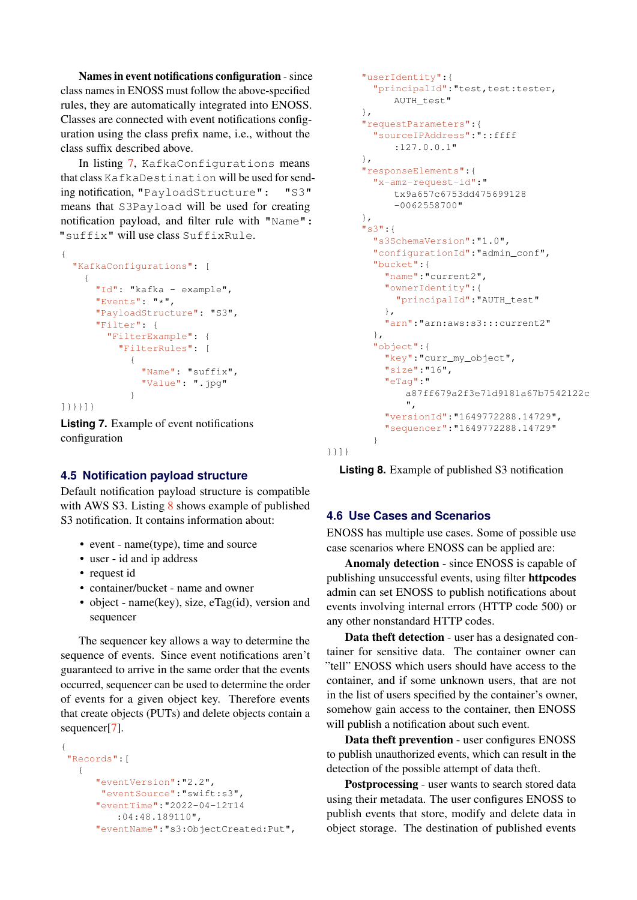Names in event notifications configuration - since class names in ENOSS must follow the above-specified rules, they are automatically integrated into ENOSS. Classes are connected with event notifications configuration using the class prefix name, i.e., without the class suffix described above.

In listing [7,](#page-6-0) KafkaConfigurations means that class KafkaDestination will be used for sending notification, "PayloadStructure": "S3" means that S3Payload will be used for creating notification payload, and filter rule with "Name": "suffix" will use class SuffixRule.

```
{
  "KafkaConfigurations": [
    {
      "Id": "kafka - example",
      "Events": "*",
      "PayloadStructure": "S3",
      "Filter": {
        "FilterExample": {
          "FilterRules": [
            {
              "Name": "suffix",
              "Value": ".jpg"
            }
]}}}]}
```
**Listing 7.** Example of event notifications configuration

# **4.5 Notification payload structure**

Default notification payload structure is compatible with AWS S3. Listing [8](#page-6-1) shows example of published S3 notification. It contains information about:

- event name(type), time and source
- user id and ip address
- request id
- container/bucket name and owner
- object name(key), size, eTag(id), version and sequencer

The sequencer key allows a way to determine the sequence of events. Since event notifications aren't guaranteed to arrive in the same order that the events occurred, sequencer can be used to determine the order of events for a given object key. Therefore events that create objects (PUTs) and delete objects contain a sequencer<sup>[\[7\]](#page-7-7)</sup>.

```
{
"Records":[
  {
     "eventVersion":"2.2",
      "eventSource":"swift:s3",
     "eventTime":"2022-04-12T14
         :04:48.189110",
      "eventName":"s3:ObjectCreated:Put",
```

```
"userIdentity":{
  "principalId":"test,test:tester,
     AUTH_test"
},
"requestParameters":{
  "sourceIPAddress":"::ffff
     :127.0.0.1"
},
"responseElements":{
  "x-amz-request-id":"
     tx9a657c6753dd475699128
     -0062558700"
},
"s3":{
  "s3SchemaVersion":"1.0",
  "configurationId":"admin_conf",
  "bucket":{
    "name":"current2",
    "ownerIdentity":{
     "principalId":"AUTH_test"
    },
    "arn":"arn:aws:s3:::current2"
  },
  "object":{
    "key":"curr_my_object",
    "size":"16",
    "eTag":"
       a87ff679a2f3e71d9181a67b7542122c
        ",
    "versionId":"1649772288.14729",
    "sequencer":"1649772288.14729"
  }
```
}}]}

**Listing 8.** Example of published S3 notification

# **4.6 Use Cases and Scenarios**

ENOSS has multiple use cases. Some of possible use case scenarios where ENOSS can be applied are:

Anomaly detection - since ENOSS is capable of publishing unsuccessful events, using filter httpcodes admin can set ENOSS to publish notifications about events involving internal errors (HTTP code 500) or any other nonstandard HTTP codes.

Data theft detection - user has a designated container for sensitive data. The container owner can "tell" ENOSS which users should have access to the container, and if some unknown users, that are not in the list of users specified by the container's owner, somehow gain access to the container, then ENOSS will publish a notification about such event.

Data theft prevention - user configures ENOSS to publish unauthorized events, which can result in the detection of the possible attempt of data theft.

Postprocessing - user wants to search stored data using their metadata. The user configures ENOSS to publish events that store, modify and delete data in object storage. The destination of published events